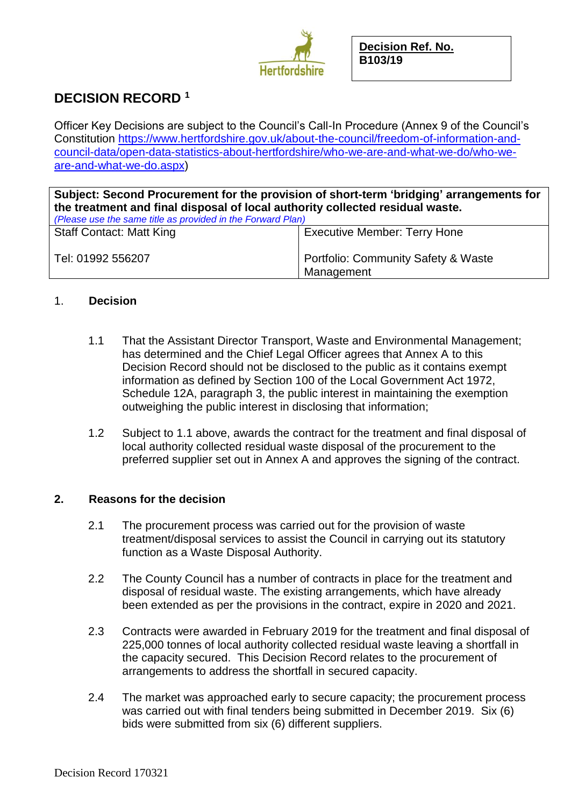

# **DECISION RECORD <sup>1</sup>**

Officer Key Decisions are subject to the Council's Call-In Procedure (Annex 9 of the Council's Constitution [https://www.hertfordshire.gov.uk/about-the-council/freedom-of-information-and](https://www.hertfordshire.gov.uk/about-the-council/freedom-of-information-and-council-data/open-data-statistics-about-hertfordshire/who-we-are-and-what-we-do/who-we-are-and-what-we-do.aspx)[council-data/open-data-statistics-about-hertfordshire/who-we-are-and-what-we-do/who-we](https://www.hertfordshire.gov.uk/about-the-council/freedom-of-information-and-council-data/open-data-statistics-about-hertfordshire/who-we-are-and-what-we-do/who-we-are-and-what-we-do.aspx)[are-and-what-we-do.aspx\)](https://www.hertfordshire.gov.uk/about-the-council/freedom-of-information-and-council-data/open-data-statistics-about-hertfordshire/who-we-are-and-what-we-do/who-we-are-and-what-we-do.aspx)

**Subject: Second Procurement for the provision of short-term 'bridging' arrangements for the treatment and final disposal of local authority collected residual waste.**

| (Please use the same title as provided in the Forward Plan) |                                                   |
|-------------------------------------------------------------|---------------------------------------------------|
| <b>Staff Contact: Matt King</b>                             | <b>Executive Member: Terry Hone</b>               |
| Tel: 01992 556207                                           | Portfolio: Community Safety & Waste<br>Management |

# 1. **Decision**

- 1.1 That the Assistant Director Transport, Waste and Environmental Management; has determined and the Chief Legal Officer agrees that Annex A to this Decision Record should not be disclosed to the public as it contains exempt information as defined by Section 100 of the Local Government Act 1972, Schedule 12A, paragraph 3, the public interest in maintaining the exemption outweighing the public interest in disclosing that information;
- 1.2 Subject to 1.1 above, awards the contract for the treatment and final disposal of local authority collected residual waste disposal of the procurement to the preferred supplier set out in Annex A and approves the signing of the contract.

# **2. Reasons for the decision**

- 2.1 The procurement process was carried out for the provision of waste treatment/disposal services to assist the Council in carrying out its statutory function as a Waste Disposal Authority.
- 2.2 The County Council has a number of contracts in place for the treatment and disposal of residual waste. The existing arrangements, which have already been extended as per the provisions in the contract, expire in 2020 and 2021.
- 2.3 Contracts were awarded in February 2019 for the treatment and final disposal of 225,000 tonnes of local authority collected residual waste leaving a shortfall in the capacity secured. This Decision Record relates to the procurement of arrangements to address the shortfall in secured capacity.
- 2.4 The market was approached early to secure capacity; the procurement process was carried out with final tenders being submitted in December 2019. Six (6) bids were submitted from six (6) different suppliers.